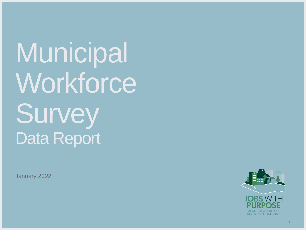**Municipal Workforce Survey** Data Report

January 2022

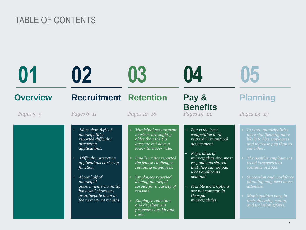# TABLE OF CONTENTS

|                 | 02                                                                                                                                                                                                                                                                                             | 03                                                                                                                                                                                                                                                                                                                                                                       | 04                                                                                                                                                                                                                                                                                |                                                                                                                                                                                                                                                                                                                                                                    |
|-----------------|------------------------------------------------------------------------------------------------------------------------------------------------------------------------------------------------------------------------------------------------------------------------------------------------|--------------------------------------------------------------------------------------------------------------------------------------------------------------------------------------------------------------------------------------------------------------------------------------------------------------------------------------------------------------------------|-----------------------------------------------------------------------------------------------------------------------------------------------------------------------------------------------------------------------------------------------------------------------------------|--------------------------------------------------------------------------------------------------------------------------------------------------------------------------------------------------------------------------------------------------------------------------------------------------------------------------------------------------------------------|
| <b>Overview</b> | <b>Recruitment</b>                                                                                                                                                                                                                                                                             | <b>Retention</b>                                                                                                                                                                                                                                                                                                                                                         | Pay &                                                                                                                                                                                                                                                                             | <b>Planning</b>                                                                                                                                                                                                                                                                                                                                                    |
| Pages $3-5$     | Pages $6-11$                                                                                                                                                                                                                                                                                   | Pages 12-18                                                                                                                                                                                                                                                                                                                                                              | <b>Benefits</b><br>Pages 19-22                                                                                                                                                                                                                                                    | Pages 23-27                                                                                                                                                                                                                                                                                                                                                        |
|                 | More than 85% of<br>municipalities<br>reported difficulty<br>attracting<br>applications.<br>Difficulty attracting<br>applications varies by<br>function.<br>+ About half of<br>municipal<br>governments currently<br>have skill shortages<br>or anticipate them in<br>the next $12-24$ months. | Municipal government<br>workers are slightly<br>older than the US<br>average but have a<br>lower turnover rate.<br>Smaller cities reported<br>$\pm$<br>the fewest challenges<br>retaining employees.<br><b>Employees reported</b><br>leaving municipal<br>service for a variety of<br>reasons.<br>Employee retention<br>and development<br>programs are hit and<br>miss. | + Pay is the least<br>competitive total<br>reward in municipal<br>government.<br>Regardless of<br>municipality size, most<br>respondents shared<br>that they cannot pay<br>what applicants<br>demand.<br>Flexible work options<br>are not common in<br>Georgia<br>municipalities. | + In 2021, municipalities<br>were significantly more<br>likely to hire employees<br>and increase pay than to<br>cut either.<br>The positive employment<br>trend is expected to<br>continue in 2022.<br>+ Succession and workforce<br>planning may need more<br><i>attention.</i><br>+ Municipalities vary in<br>their diversity, equity,<br>and inclusion efforts. |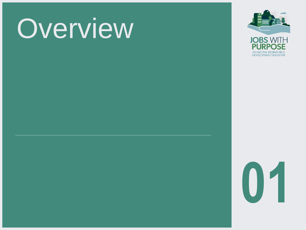# **Overview**



**01**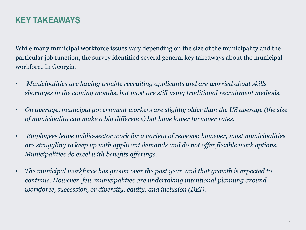## **KEY TAKEAWAYS**

While many municipal workforce issues vary depending on the size of the municipality and the particular job function, the survey identified several general key takeaways about the municipal workforce in Georgia.

- *Municipalities are having trouble recruiting applicants and are worried about skills shortages in the coming months, but most are still using traditional recruitment methods.*
- *On average, municipal government workers are slightly older than the US average (the size of municipality can make a big difference) but have lower turnover rates.*
- *Employees leave public-sector work for a variety of reasons; however, most municipalities are struggling to keep up with applicant demands and do not offer flexible work options. Municipalities do excel with benefits offerings.*
- *The municipal workforce has grown over the past year, and that growth is expected to continue. However, few municipalities are undertaking intentional planning around workforce, succession, or diversity, equity, and inclusion (DEI).*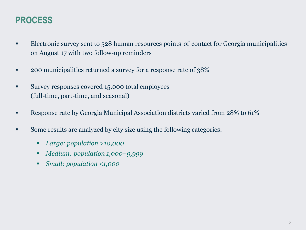## **PROCESS**

- **Electronic survey sent to 528 human resources points-of-contact for Georgia municipalities** on August 17 with two follow-up reminders
- 200 municipalities returned a survey for a response rate of 38%
- **EXECUTE:** Survey responses covered 15,000 total employees (full-time, part-time, and seasonal)
- **Response rate by Georgia Municipal Association districts varied from 28% to 61%**
- Some results are analyzed by city size using the following categories:
	- *Large: population >10,000*
	- *Medium: population 1,000−9,999*
	- Small: population <1,000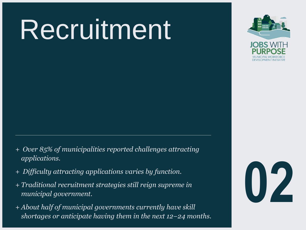# Recruitment



- + *Over 85% of municipalities reported challenges attracting applications.*
- + *Difficulty attracting applications varies by function.*
- + *Traditional recruitment strategies still reign supreme in municipal government.*
- + *About half of municipal governments currently have skill shortages or anticipate having them in the next 12−24 months.*

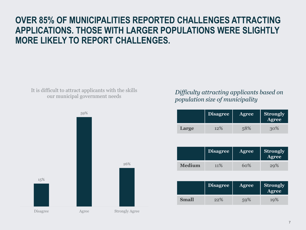## **OVER 85% OF MUNICIPALITIES REPORTED CHALLENGES ATTRACTING APPLICATIONS. THOSE WITH LARGER POPULATIONS WERE SLIGHTLY MORE LIKELY TO REPORT CHALLENGES.**

It is difficult to attract applicants with the skills our municipal government needs



#### *Difficulty attracting applicants based on population size of municipality*

|       | Disagree | <b>Agree</b> | <b>Strongly</b><br>Agree |
|-------|----------|--------------|--------------------------|
| Large | 12%      | 58%          | 30%                      |

|        | <b>Disagree</b> | <b>Agree</b> | <b>Strongly</b><br>Agree |
|--------|-----------------|--------------|--------------------------|
| Medium | 11%             | 60%          | 29%                      |

|              | <b>Disagree</b> | <b>Agree</b> | <b>Strongly</b><br>Agree <sup>1</sup> |
|--------------|-----------------|--------------|---------------------------------------|
| <b>Small</b> | 22%             | 59%          | 10%                                   |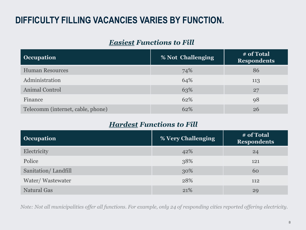# **DIFFICULTY FILLING VACANCIES VARIES BY FUNCTION.**

#### *Easiest Functions to Fill*

| <b>Occupation</b>                 | % Not Challenging | # of Total<br><b>Respondents</b> |
|-----------------------------------|-------------------|----------------------------------|
| <b>Human Resources</b>            | 74%               | 86                               |
| Administration                    | 64%               | 113                              |
| Animal Control                    | 63%               | 27                               |
| Finance                           | 62%               | 98                               |
| Telecomm (internet, cable, phone) | 62%               | 26                               |

#### *Hardest Functions to Fill*

| <b>Occupation</b>   | % Very Challenging | # of Total<br><b>Respondents</b> |
|---------------------|--------------------|----------------------------------|
| Electricity         | 42%                | 24                               |
| Police              | 38%                | 121                              |
| Sanitation/Landfill | 30%                | 60                               |
| Water/Wastewater    | 28%                | 112                              |
| <b>Natural Gas</b>  | 21%                | 29                               |

*Note: Not all municipalities offer all functions. For example, only 24 of responding cities reported offering electricity.*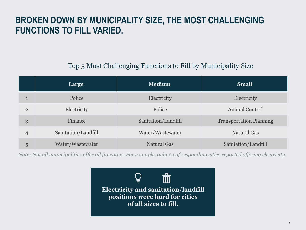### **BROKEN DOWN BY MUNICIPALITY SIZE, THE MOST CHALLENGING FUNCTIONS TO FILL VARIED.**

#### Top 5 Most Challenging Functions to Fill by Municipality Size

|                | Large               | <b>Medium</b>       | <b>Small</b>                   |
|----------------|---------------------|---------------------|--------------------------------|
| 1              | Police              | Electricity         | Electricity                    |
| $\overline{2}$ | Electricity         | Police              | Animal Control                 |
| 3              | Finance             | Sanitation/Landfill | <b>Transportation Planning</b> |
| $\overline{4}$ | Sanitation/Landfill | Water/Wastewater    | <b>Natural Gas</b>             |
| 5              | Water/Wastewater    | <b>Natural Gas</b>  | Sanitation/Landfill            |

*Note: Not all municipalities offer all functions. For example, only 24 of responding cities reported offering electricity.*

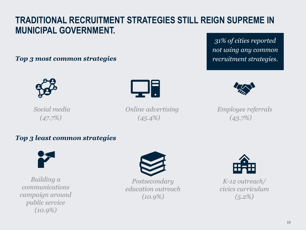## **TRADITIONAL RECRUITMENT STRATEGIES STILL REIGN SUPREME IN MUNICIPAL GOVERNMENT.**

#### *Top 3 most common strategies recruitment strategies. recruitment strategies.*





*(47.7%) (45.4%) (43.7%)*

*31% of cities reported not using any common* 



*Social media Online advertising Employee referrals*

#### *Top 3 least common strategies*



*Building a communications campaign around public service (10.9%)*



*Postsecondary education outreach (10.9%)*



*K-12 outreach/ civics curriculum (5.2%)*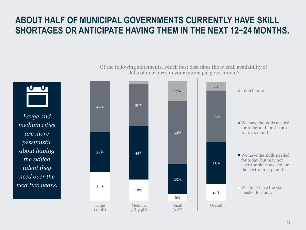## **ABOUT HALF OF MUNICIPAL GOVERNMENTS CURRENTLY HAVE SKILL SHORTAGES OR ANTICIPATE HAVING THEM IN THE NEXT 12−24 MONTHS.**

*Large and medium cities are more pessimistic about having the skilled talent they need over the next two years.* 24% 18% 6% 14% 33% 44% 25% 35% 42% 36% 53% 43% 17% 7% Large  $(>10K)$ Medium  $(1K-9.9K)$ Small  $(<sub>1K</sub>)$ Overall I don't know We have the skills needed for today and for the next 12 to 24 months We have the skills needed for today, but may not have the skills needed for the next 12 to 24 months We don't have the skills needed for today

Of the following statements, which best describes the overall availability of skills of new hires in your municipal government?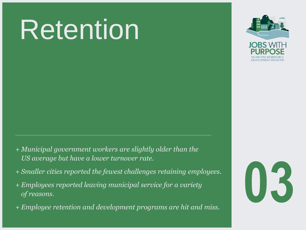# Retention



- + *Municipal government workers are slightly older than the US average but have a lower turnover rate.*
- + *Smaller cities reported the fewest challenges retaining employees.*
- + *Employees reported leaving municipal service for a variety of reasons.*
- + *Employee retention and development programs are hit and miss.*

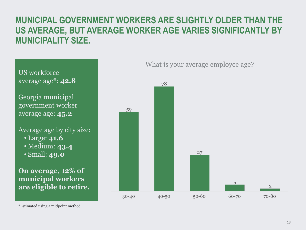#### **MUNICIPAL GOVERNMENT WORKERS ARE SLIGHTLY OLDER THAN THE US AVERAGE, BUT AVERAGE WORKER AGE VARIES SIGNIFICANTLY BY MUNICIPALITY SIZE.**

78

US workforce average age\*: **42.8**

Georgia municipal government worker average age: **45.2**

Average age by city size: • Large: **41.6** • Medium: **43.4**

• Small: **49.0**

**On average, 12% of municipal workers are eligible to retire.**



What is your average employee age?

\*Estimated using a midpoint method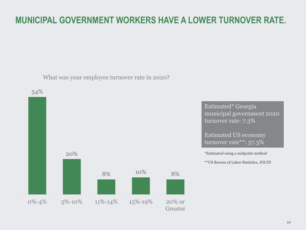# **MUNICIPAL GOVERNMENT WORKERS HAVE A LOWER TURNOVER RATE.**

What was your employee turnover rate in 2020?



Estimated\* Georgia municipal government 2020 turnover rate: 7.3%

Estimated US economy turnover rate\*\*: 57.3%

\*Estimated using a midpoint method

\*\*US Bureau of Labor Statistics, JOLTS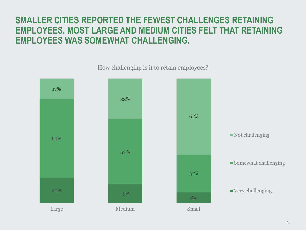## **SMALLER CITIES REPORTED THE FEWEST CHALLENGES RETAINING EMPLOYEES. MOST LARGE AND MEDIUM CITIES FELT THAT RETAINING EMPLOYEES WAS SOMEWHAT CHALLENGING.**

 $20\%$  15%  $15\%$ 8% 63% 52% 31% 17% 33% 61% Large Medium Medium Small ■ Not challenging Somewhat challenging ■ Very challenging

How challenging is it to retain employees?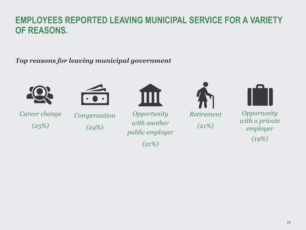#### **EMPLOYEES REPORTED LEAVING MUNICIPAL SERVICE FOR A VARIETY OF REASONS.**

*Top reasons for leaving municipal government* 



*Career change*

*(25%)*



*Compensation*

*(24%)*

*Opportunity with another* 

*public employer* 

*(21%)*

*Retirement (21%)*



*Opportunity with a private employer (19%)*

16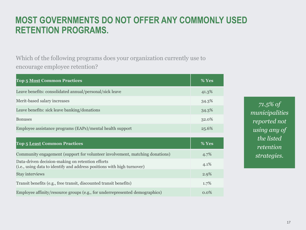#### **MOST GOVERNMENTS DO NOT OFFER ANY COMMONLY USED RETENTION PROGRAMS.**

Which of the following programs does your organization currently use to encourage employee retention?

| <b>Top 5 Most Common Practices</b>                                                                                          | % Yes |
|-----------------------------------------------------------------------------------------------------------------------------|-------|
| Leave benefits: consolidated annual/personal/sick leave                                                                     | 41.3% |
| Merit-based salary increases                                                                                                | 34.3% |
| Leave benefits: sick leave banking/donations                                                                                | 34.3% |
| <b>Bonuses</b>                                                                                                              | 32.0% |
| Employee assistance programs (EAPs)/mental health support                                                                   | 25.6% |
|                                                                                                                             |       |
| <b>Top 5 Least Common Practices</b>                                                                                         | % Yes |
| Community engagement (support for volunteer involvement, matching donations)                                                | 4.7%  |
| Data-driven decision-making on retention efforts<br>(i.e., using data to identify and address positions with high turnover) | 4.1%  |
| Stay interviews                                                                                                             | 2.9%  |
| Transit benefits (e.g., free transit, discounted transit benefits)                                                          | 1.7%  |
|                                                                                                                             |       |

*71.5% of municipalities reported not using any of the listed retention strategies.*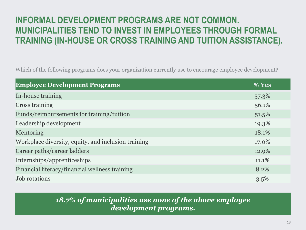# **INFORMAL DEVELOPMENT PROGRAMS ARE NOT COMMON. MUNICIPALITIES TEND TO INVEST IN EMPLOYEES THROUGH FORMAL TRAINING (IN-HOUSE OR CROSS TRAINING AND TUITION ASSISTANCE).**

Which of the following programs does your organization currently use to encourage employee development?

| <b>Employee Development Programs</b>                | % Yes |
|-----------------------------------------------------|-------|
| In-house training                                   | 57.3% |
| <b>Cross training</b>                               | 56.1% |
| Funds/reimbursements for training/tuition           | 51.5% |
| Leadership development                              | 19.3% |
| Mentoring                                           | 18.1% |
| Workplace diversity, equity, and inclusion training | 17.0% |
| Career paths/career ladders                         | 12.9% |
| Internships/apprenticeships                         | 11.1% |
| Financial literacy/financial wellness training      | 8.2%  |
| <b>Job</b> rotations                                | 3.5%  |

#### *18.7% of municipalities use none of the above employee development programs.*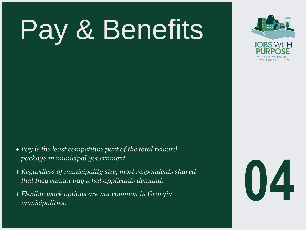# Pay & Benefits



- + *Pay is the least competitive part of the total reward package in municipal government.*
- + *Regardless of municipality size, most respondents shared that they cannot pay what applicants demand. Regardless of municipality size, most respondents shared<br>that they cannot pay what applicants demand.<br>Flexible work options are not common in Georgia<br>municipalities.*
- + *Flexible work options are not common in Georgia*

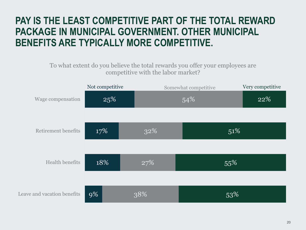# **PAY IS THE LEAST COMPETITIVE PART OF THE TOTAL REWARD PACKAGE IN MUNICIPAL GOVERNMENT. OTHER MUNICIPAL BENEFITS ARE TYPICALLY MORE COMPETITIVE.**

#### To what extent do you believe the total rewards you offer your employees are competitive with the labor market?

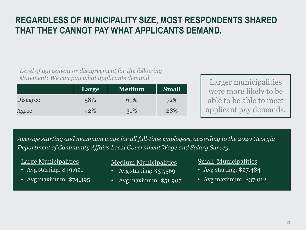## **REGARDLESS OF MUNICIPALITY SIZE, MOST RESPONDENTS SHARED THAT THEY CANNOT PAY WHAT APPLICANTS DEMAND.**

*Level of agreement or disagreement for the following statement: We can pay what applicants demand.* 

|                 | Large | <b>Medium</b> | <b>Small</b> |
|-----------------|-------|---------------|--------------|
| <b>Disagree</b> | 58%   | 69%           | 72%          |
| Agree           | 42%   | 31\%          | 28%          |

Larger municipalities were more likely to be able to be able to meet applicant pay demands.

*Average starting and maximum wage for all full-time employees, according to the 2020 Georgia Department of Community Affairs Local Government Wage and Salary Survey:*

#### Large Municipalities

- Avg starting: \$49,921
- Avg maximum: \$74,395

Medium Municipalities

- Avg starting: \$37,569
- Avg maximum: \$51,907

#### Small Municipalities

- Avg starting: \$27,484
- Avg maximum: \$37,012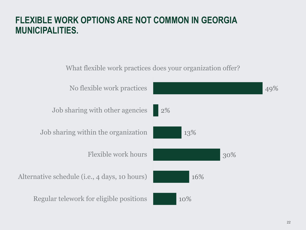#### **FLEXIBLE WORK OPTIONS ARE NOT COMMON IN GEORGIA MUNICIPALITIES.**

10% 16% 30% 13% 2% 49% Regular telework for eligible positions Alternative schedule (i.e., 4 days, 10 hours) Flexible work hours Job sharing within the organization Job sharing with other agencies No flexible work practices What flexible work practices does your organization offer?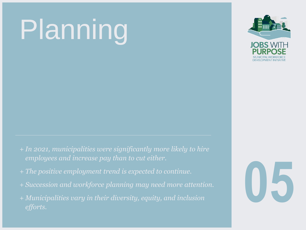# Planning



- + *In 2021, municipalities were significantly more likely to hire employees and increase pay than to cut either.*
- + *The positive employment trend is expected to continue.*
- + *Succession and workforce planning may need more attention.*
- + *Municipalities vary in their diversity, equity, and inclusion efforts.*

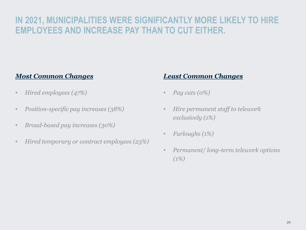## **IN 2021, MUNICIPALITIES WERE SIGNIFICANTLY MORE LIKELY TO HIRE EMPLOYEES AND INCREASE PAY THAN TO CUT EITHER.**

#### *Most Common Changes*

- *Hired employees (47%)*
- *Position-specific pay increases (38%)*
- *Broad-based pay increases (30%)*
- *Hired temporary or contract employees (23%)*

#### *Least Common Changes*

- *Pay cuts (0%)*
- *Hire permanent staff to telework exclusively (1%)*
- *Furloughs (1%)*
- *Permanent/ long-term telework options (1%)*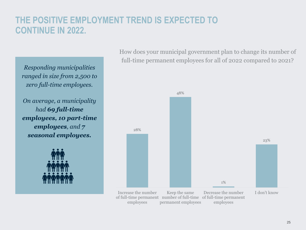## **THE POSITIVE EMPLOYMENT TREND IS EXPECTED TO CONTINUE IN 2022.**

*Responding municipalities ranged in size from 2,500 to zero full-time employees.* 

*On average, a municipality had 69 full-time employees, 10 part-time employees, and 7 seasonal employees.* 



How does your municipal government plan to change its number of full-time permanent employees for all of 2022 compared to 2021?

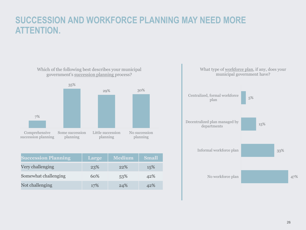#### **SUCCESSION AND WORKFORCE PLANNING MAY NEED MORE ATTENTION.**



| <b>Succession Planning</b> | Large | <b>Medium</b> | <b>Small</b> |
|----------------------------|-------|---------------|--------------|
| Very challenging           | 23%   | 22%           | 15%          |
| Somewhat challenging       | 60%   | 53%           | 42%          |
| Not challenging            | 17%   | 24%           | 42%          |

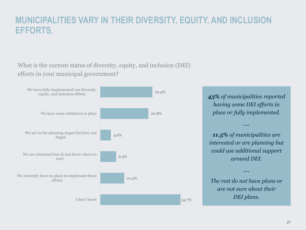#### **MUNICIPALITIES VARY IN THEIR DIVERSITY, EQUITY, AND INCLUSION EFFORTS.**

#### What is the current status of diversity, equity, and inclusion (DEI) efforts in your municipal government?